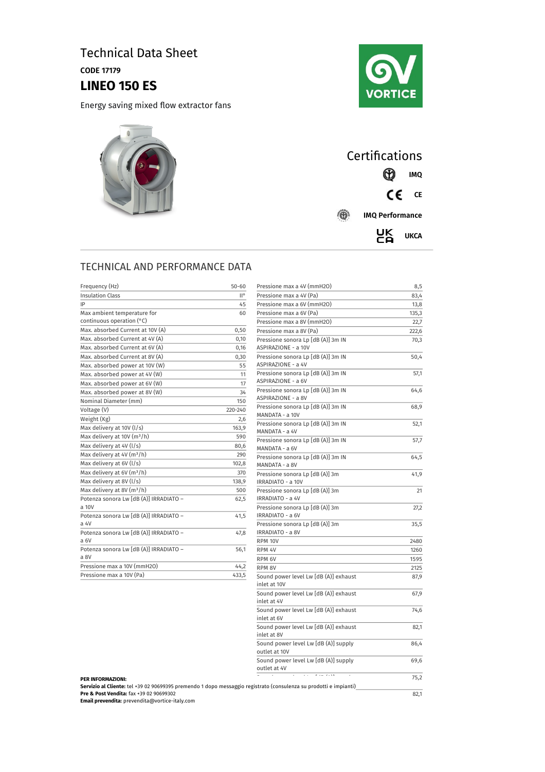# Technical Data Sheet

CODE 17179

## **LINEO 150 ES**

Energy saving mixed flow extractor fans







### TECHNICAL AND PERFORMANCE DATA

| Frequency (Hz)                                            | $50 - 60$ |
|-----------------------------------------------------------|-----------|
| <b>Insulation Class</b>                                   | II°       |
| IP                                                        | 45        |
| Max ambient temperature for                               | 60        |
| continuous operation (°C)                                 |           |
| Max. absorbed Current at 10V (A)                          | 0,50      |
| Max. absorbed Current at 4V (A)                           | 0,10      |
| Max. absorbed Current at 6V (A)                           | 0,16      |
| Max. absorbed Current at 8V (A)                           | 0,30      |
| Max. absorbed power at 10V (W)                            | 55        |
| Max. absorbed power at 4V (W)                             | 11        |
| Max. absorbed power at 6V (W)                             | 17        |
| Max. absorbed power at 8V (W)                             | 34        |
| Nominal Diameter (mm)                                     | 150       |
| Voltage (V)                                               | 220-240   |
| Weight (Kg)                                               | 2,6       |
| Max delivery at 10V (l/s)                                 | 163,9     |
| Max delivery at 10V (m <sup>3</sup> /h)                   | 590       |
| Max delivery at 4V (I/s)                                  | 80,6      |
| Max delivery at 4V (m <sup>3</sup> /h)                    | 290       |
| Max delivery at 6V (I/s)                                  | 102,8     |
| Max delivery at 6V (m <sup>3</sup> /h)                    | 370       |
| Max delivery at 8V (I/s)                                  | 138,9     |
| Max delivery at 8V (m <sup>3</sup> /h)                    | 500       |
| Potenza sonora Lw [dB (A)] IRRADIATO -<br>a 10V           | 62,5      |
| Potenza sonora Lw [dB (A)] IRRADIATO -<br>a <sub>4V</sub> | 41,5      |
| Potenza sonora Lw [dB (A)] IRRADIATO -<br>a <sub>6V</sub> | 47,8      |
| Potenza sonora Lw [dB (A)] IRRADIATO -<br>a 8V            | 56,1      |
| Pressione max a 10V (mmH2O)                               | 44,2      |
| Pressione max a 10V (Pa)                                  | 433,5     |
|                                                           |           |

| Frequency (Hz)                                                                                                                                | $50 - 60$            | Pressione max a 4V (mmH2O)                            | 8,5   |
|-----------------------------------------------------------------------------------------------------------------------------------------------|----------------------|-------------------------------------------------------|-------|
| <b>Insulation Class</b>                                                                                                                       | $\mathbb{H}^{\circ}$ | Pressione max a 4V (Pa)                               | 83,4  |
| IP                                                                                                                                            | 45                   | Pressione max a 6V (mmH2O)                            | 13,8  |
| Max ambient temperature for                                                                                                                   | 60                   | Pressione max a 6V (Pa)                               | 135,3 |
| continuous operation (°C)                                                                                                                     |                      | Pressione max a 8V (mmH2O)                            | 22,7  |
| Max. absorbed Current at 10V (A)                                                                                                              | 0,50                 | Pressione max a 8V (Pa)                               | 222,6 |
| Max. absorbed Current at 4V (A)                                                                                                               | 0,10                 | Pressione sonora Lp [dB (A)] 3m IN                    | 70,3  |
| Max. absorbed Current at 6V (A)                                                                                                               | 0,16                 | ASPIRAZIONE - a 10V                                   |       |
| Max. absorbed Current at 8V (A)                                                                                                               | 0,30                 | Pressione sonora Lp [dB (A)] 3m IN                    | 50,4  |
| Max. absorbed power at 10V (W)                                                                                                                | 55                   | ASPIRAZIONE - a 4V                                    |       |
| Max. absorbed power at 4V (W)                                                                                                                 | 11                   | Pressione sonora Lp [dB (A)] 3m IN                    | 57,1  |
| Max. absorbed power at 6V (W)                                                                                                                 | 17                   | ASPIRAZIONE - a 6V                                    |       |
| Max. absorbed power at 8V (W)                                                                                                                 | 34                   | Pressione sonora Lp [dB (A)] 3m IN                    | 64,6  |
| Nominal Diameter (mm)                                                                                                                         | 150                  | ASPIRAZIONE - a 8V                                    |       |
| Voltage (V)                                                                                                                                   | 220-240              | Pressione sonora Lp [dB (A)] 3m IN                    | 68,9  |
| Weight (Kg)                                                                                                                                   | 2,6                  | MANDATA - a 10V                                       |       |
| Max delivery at 10V (I/s)                                                                                                                     | 163,9                | Pressione sonora Lp [dB (A)] 3m IN                    | 52,1  |
| Max delivery at 10V (m <sup>3</sup> /h)                                                                                                       | 590                  | MANDATA - a 4V                                        |       |
| Max delivery at 4V (I/s)                                                                                                                      | 80,6                 | Pressione sonora Lp [dB (A)] 3m IN<br>MANDATA - a 6V  | 57,7  |
| Max delivery at $4V$ (m <sup>3</sup> /h)                                                                                                      | 290                  | Pressione sonora Lp [dB (A)] 3m IN                    | 64,5  |
| Max delivery at 6V (I/s)                                                                                                                      | 102,8                | MANDATA - a 8V                                        |       |
| Max delivery at 6V (m <sup>3</sup> /h)                                                                                                        | 370                  | Pressione sonora Lp [dB (A)] 3m                       | 41,9  |
| Max delivery at 8V (I/s)                                                                                                                      | 138,9                | IRRADIATO - a 10V                                     |       |
| Max delivery at 8V (m <sup>3</sup> /h)                                                                                                        | 500                  | Pressione sonora Lp [dB (A)] 3m                       | 21    |
| Potenza sonora Lw [dB (A)] IRRADIATO -                                                                                                        | 62,5                 | IRRADIATO - a 4V                                      |       |
| a 10V                                                                                                                                         |                      | Pressione sonora Lp [dB (A)] 3m                       | 27,2  |
| Potenza sonora Lw [dB (A)] IRRADIATO -                                                                                                        | 41,5                 | IRRADIATO - a 6V                                      |       |
| a 4V                                                                                                                                          |                      | Pressione sonora Lp [dB (A)] 3m                       | 35,5  |
| Potenza sonora Lw [dB (A)] IRRADIATO -                                                                                                        | 47,8                 | IRRADIATO - a 8V                                      |       |
| a 6V                                                                                                                                          |                      | RPM 10V                                               | 2480  |
| Potenza sonora Lw [dB (A)] IRRADIATO -                                                                                                        | 56,1                 | RPM 4V                                                | 1260  |
| a 8V                                                                                                                                          |                      | RPM 6V                                                | 1595  |
| Pressione max a 10V (mmH2O)                                                                                                                   | 44,2                 | RPM <sub>8V</sub>                                     | 2125  |
| Pressione max a 10V (Pa)                                                                                                                      | 433,5                | Sound power level Lw [dB (A)] exhaust                 | 87,9  |
|                                                                                                                                               |                      | inlet at 10V                                          |       |
|                                                                                                                                               |                      | Sound power level Lw [dB (A)] exhaust                 | 67,9  |
|                                                                                                                                               |                      | inlet at 4V                                           |       |
|                                                                                                                                               |                      | Sound power level Lw [dB (A)] exhaust                 | 74,6  |
|                                                                                                                                               |                      | inlet at 6V                                           |       |
|                                                                                                                                               |                      | Sound power level Lw [dB (A)] exhaust                 | 82,1  |
|                                                                                                                                               |                      | inlet at 8V                                           |       |
|                                                                                                                                               |                      | Sound power level Lw [dB (A)] supply<br>outlet at 10V | 86,4  |
|                                                                                                                                               |                      | Sound power level Lw [dB (A)] supply                  |       |
|                                                                                                                                               |                      | outlet at 4V                                          | 69,6  |
|                                                                                                                                               |                      | $1.1$ $1.1$ $1.1$ $1.1$                               | 75,2  |
| <b>PER INFORMAZIONI:</b><br>Servizio al Cliente: tel +39 02 90699395 premendo 1 dopo messaggio registrato (consulenza su prodotti e impianti) |                      |                                                       |       |
| Pre & Post Vendita: fax +39 02 90699302                                                                                                       |                      |                                                       | 82,1  |

**Pre & Post Vendita:** fax +39 02 90699302 **Email prevendita:** prevendita@vortice-italy.com